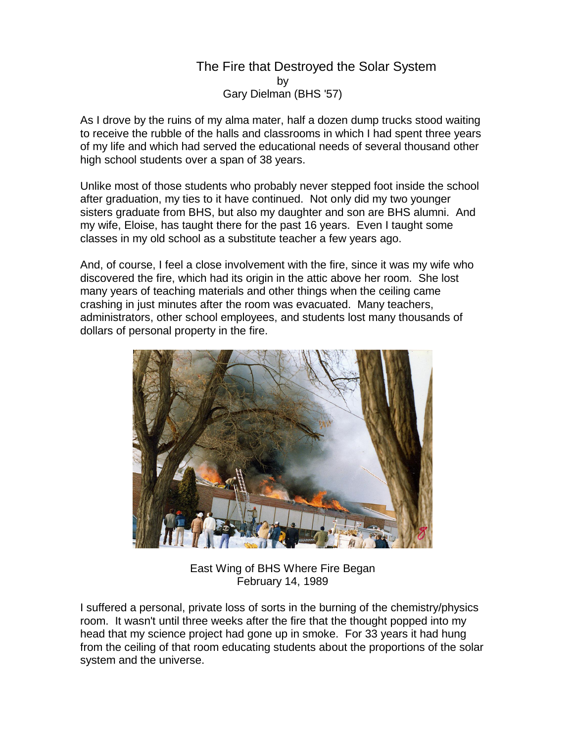## The Fire that Destroyed the Solar System by Gary Dielman (BHS '57)

As I drove by the ruins of my alma mater, half a dozen dump trucks stood waiting to receive the rubble of the halls and classrooms in which I had spent three years of my life and which had served the educational needs of several thousand other high school students over a span of 38 years.

Unlike most of those students who probably never stepped foot inside the school after graduation, my ties to it have continued. Not only did my two younger sisters graduate from BHS, but also my daughter and son are BHS alumni. And my wife, Eloise, has taught there for the past 16 years. Even I taught some classes in my old school as a substitute teacher a few years ago.

And, of course, I feel a close involvement with the fire, since it was my wife who discovered the fire, which had its origin in the attic above her room. She lost many years of teaching materials and other things when the ceiling came crashing in just minutes after the room was evacuated. Many teachers, administrators, other school employees, and students lost many thousands of dollars of personal property in the fire.



East Wing of BHS Where Fire Began February 14, 1989

I suffered a personal, private loss of sorts in the burning of the chemistry/physics room. It wasn't until three weeks after the fire that the thought popped into my head that my science project had gone up in smoke. For 33 years it had hung from the ceiling of that room educating students about the proportions of the solar system and the universe.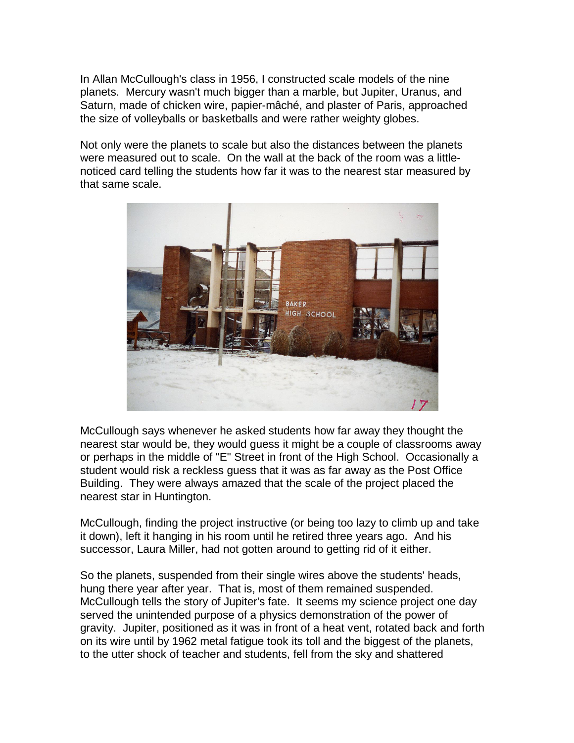In Allan McCullough's class in 1956, I constructed scale models of the nine planets. Mercury wasn't much bigger than a marble, but Jupiter, Uranus, and Saturn, made of chicken wire, papier-mâché, and plaster of Paris, approached the size of volleyballs or basketballs and were rather weighty globes.

Not only were the planets to scale but also the distances between the planets were measured out to scale. On the wall at the back of the room was a littlenoticed card telling the students how far it was to the nearest star measured by that same scale.



McCullough says whenever he asked students how far away they thought the nearest star would be, they would guess it might be a couple of classrooms away or perhaps in the middle of "E" Street in front of the High School. Occasionally a student would risk a reckless guess that it was as far away as the Post Office Building. They were always amazed that the scale of the project placed the nearest star in Huntington.

McCullough, finding the project instructive (or being too lazy to climb up and take it down), left it hanging in his room until he retired three years ago. And his successor, Laura Miller, had not gotten around to getting rid of it either.

So the planets, suspended from their single wires above the students' heads, hung there year after year. That is, most of them remained suspended. McCullough tells the story of Jupiter's fate. It seems my science project one day served the unintended purpose of a physics demonstration of the power of gravity. Jupiter, positioned as it was in front of a heat vent, rotated back and forth on its wire until by 1962 metal fatigue took its toll and the biggest of the planets, to the utter shock of teacher and students, fell from the sky and shattered